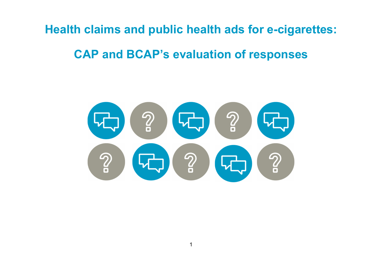Health claims and public health ads for e-cigarettes:

# CAP and BCAP's evaluation of responses

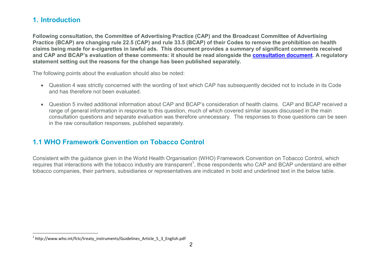### 1. Introduction

 $\overline{a}$ 

Following consultation, the Committee of Advertising Practice (CAP) and the Broadcast Committee of Advertising Practice (BCAP) are changing rule 22.5 (CAP) and rule 33.5 (BCAP) of their Codes to remove the prohibition on health claims being made for e-cigarettes in lawful ads. This document provides a summary of significant comments received and CAP and BCAP's evaluation of these comments: it should be read alongside the consultation document. A regulatory statement setting out the reasons for the change has been published separately.

The following points about the evaluation should also be noted:

- Question 4 was strictly concerned with the wording of text which CAP has subsequently decided not to include in its Code and has therefore not been evaluated.
- Question 5 invited additional information about CAP and BCAP's consideration of health claims. CAP and BCAP received a range of general information in response to this question, much of which covered similar issues discussed in the main consultation questions and separate evaluation was therefore unnecessary. The responses to those questions can be seen in the raw consultation responses, published separately.

### 1.1 WHO Framework Convention on Tobacco Control

Consistent with the guidance given in the World Health Organisation (WHO) Framework Convention on Tobacco Control, which requires that interactions with the tobacco industry are transparent<sup>1</sup>, those respondents who CAP and BCAP understand are either tobacco companies, their partners, subsidiaries or representatives are indicated in bold and underlined text in the below table.

<sup>&</sup>lt;sup>1</sup> http://www.who.int/fctc/treaty\_instruments/Guidelines\_Article\_5\_3\_English.pdf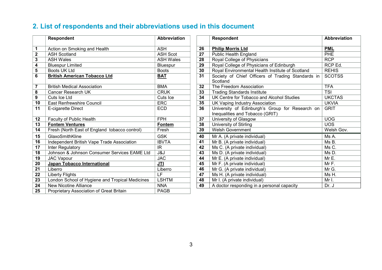## 2. List of respondents and their abbreviations used in this document

|                         | <b>Respondent</b>                               | <b>Abbreviation</b> |    | <b>Respondent</b>                                                                                 | <b>Abbreviatio</b> |
|-------------------------|-------------------------------------------------|---------------------|----|---------------------------------------------------------------------------------------------------|--------------------|
| 1                       | Action on Smoking and Health                    | <b>ASH</b>          | 26 | <b>Philip Morris Ltd</b>                                                                          | <b>PML</b>         |
| $\overline{\mathbf{2}}$ | <b>ASH Scotland</b>                             | <b>ASH Scot</b>     | 27 | <b>Public Health England</b>                                                                      | PHE                |
| 3                       | <b>ASH Wales</b>                                | <b>ASH Wales</b>    | 28 | Royal College of Physicians                                                                       | <b>RCP</b>         |
| 4                       | <b>Bluespur Limited</b>                         | Bluespur            | 29 | Royal College of Physicians of Edinburgh                                                          | RCP Ed.            |
| 5                       | Boots UK Ltd                                    | <b>Boots</b>        | 30 | Royal Environmental Health Institute of Scotland                                                  | <b>REHIS</b>       |
| 6                       | <b>British American Tobacco Ltd</b>             | <b>BAT</b>          | 31 | Society of Chief Officers of Trading Standards in<br>Scotland                                     | <b>SCOTSS</b>      |
| $\overline{7}$          | <b>British Medical Association</b>              | <b>BMA</b>          | 32 | The Freedom Association                                                                           | <b>TFA</b>         |
| 8                       | <b>Cancer Research UK</b>                       | <b>CRUK</b>         | 33 | <b>Trading Standards Institute</b>                                                                | <b>TSI</b>         |
| 9                       | Cuts Ice Ltd                                    | Cuts Ice            | 34 | UK Centre for Tobacco and Alcohol Studies                                                         | <b>UKCTAS</b>      |
| 10                      | <b>East Renfrewshire Council</b>                | ERC                 | 35 | <b>UK Vaping Industry Association</b>                                                             | <b>UKVIA</b>       |
| 11                      | E-cigarette Direct                              | <b>ECD</b>          | 36 | University of Edinburgh's Group for Research on<br><b>GRIT</b><br>Inequalities and Tobacco (GRIT) |                    |
| 12                      | Faculty of Public Health                        | <b>FPH</b>          | 37 | University of Glasgow                                                                             | <b>UOG</b>         |
| 13                      | <b>Fontem Ventures</b>                          | <b>Fontem</b>       | 38 | UOS <sup></sup><br>University of Stirling                                                         |                    |
| 14                      | Fresh (North East of England tobacco control)   | Fresh               | 39 | <b>Welsh Government</b><br>Welsh Gov.                                                             |                    |
| 15                      | GlaxoSmithKline                                 | <b>GSK</b>          | 40 | Mr A. (A private individual)                                                                      | Ms A.              |
| 16                      | Independent British Vape Trade Association      | <b>IBVTA</b>        | 41 | Mr B. (A private individual)                                                                      | Ms B.              |
| 17                      | Inter Regulatory                                | IR                  | 42 | Ms C. (A private individual)                                                                      | Ms C.              |
| 18                      | Johnson & Johnson Consumer Services EAME Ltd    | J&J                 | 43 | Ms D. (A private individual)                                                                      | Ms D.              |
| 19                      | <b>JAC Vapour</b>                               | <b>JAC</b>          | 44 | Mr E. (A private individual)                                                                      | Mr E.              |
| 20                      | Japan Tobacco International                     | <b>JTI</b>          | 45 | Mr F. (A private individual)                                                                      | Mr F.              |
| 21                      | Liberro                                         | Liberro             | 46 | Mr G. (A private individual)                                                                      | Mr G.              |
| 22                      | <b>Liberty Flights</b>                          | LF                  | 47 | Ms H. (A private individual)                                                                      | Ms H.              |
| 23                      | London School of Hygiene and Tropical Medicines | <b>LSHTM</b>        | 48 | Mr I. (A private individual)                                                                      | Mr I.              |
| 24                      | <b>New Nicotine Alliance</b>                    | <b>NNA</b>          | 49 | A doctor responding in a personal capacity                                                        | Dr. J              |
| 25                      | Proprietary Association of Great Britain        | <b>PAGB</b>         |    |                                                                                                   |                    |

| Respondent                                                                                                                                  | Abbreviation     | <b>Respondent</b>                                         |                                                                  | <b>Abbreviation</b> |  |
|---------------------------------------------------------------------------------------------------------------------------------------------|------------------|-----------------------------------------------------------|------------------------------------------------------------------|---------------------|--|
| Action on Smoking and Health                                                                                                                | <b>ASH</b>       | 26                                                        | <b>Philip Morris Ltd</b>                                         | <b>PML</b>          |  |
| <b>ASH Scotland</b>                                                                                                                         | <b>ASH Scot</b>  | 27                                                        | <b>Public Health England</b>                                     | <b>PHE</b>          |  |
| ASH Wales                                                                                                                                   | <b>ASH Wales</b> | <b>RCP</b><br>28<br>Royal College of Physicians           |                                                                  |                     |  |
| <b>Bluespur Limited</b>                                                                                                                     | Bluespur         | 29<br>Royal College of Physicians of Edinburgh<br>RCP Ed. |                                                                  |                     |  |
| Boots UK Ltd                                                                                                                                | <b>Boots</b>     | 30                                                        | Royal Environmental Health Institute of Scotland<br><b>REHIS</b> |                     |  |
| <b>British American Tobacco Ltd</b><br><b>BAT</b><br>31<br>Society of Chief Officers of Trading Standards in<br>Scotland                    |                  | <b>SCOTSS</b>                                             |                                                                  |                     |  |
| <b>British Medical Association</b>                                                                                                          | <b>BMA</b>       | 32                                                        | The Freedom Association                                          | <b>TFA</b>          |  |
| Cancer Research UK                                                                                                                          | <b>CRUK</b>      | 33                                                        | <b>Trading Standards Institute</b>                               | <b>TSI</b>          |  |
| Cuts Ice Ltd                                                                                                                                | Cuts Ice         | 34                                                        | UK Centre for Tobacco and Alcohol Studies                        | <b>UKCTAS</b>       |  |
| <b>East Renfrewshire Council</b>                                                                                                            | <b>ERC</b>       | 35                                                        | UK Vaping Industry Association                                   | <b>UKVIA</b>        |  |
| 36<br>University of Edinburgh's Group for Research on<br>E-cigarette Direct<br><b>ECD</b><br><b>GRIT</b><br>Inequalities and Tobacco (GRIT) |                  |                                                           |                                                                  |                     |  |
| Faculty of Public Health                                                                                                                    | <b>FPH</b>       | <b>UOG</b><br>37<br>University of Glasgow                 |                                                                  |                     |  |
| <b>Fontem Ventures</b>                                                                                                                      | <b>Fontem</b>    | 38                                                        | University of Stirling                                           | <b>UOS</b>          |  |
| Fresh (North East of England tobacco control)                                                                                               | Fresh            | <b>Welsh Government</b><br>39<br>Welsh Gov.               |                                                                  |                     |  |
| GlaxoSmithKline                                                                                                                             | <b>GSK</b>       | 40                                                        | Mr A. (A private individual)                                     | Ms A.               |  |
| Independent British Vape Trade Association                                                                                                  | <b>IBVTA</b>     | 41                                                        | Mr B. (A private individual)                                     | Ms B.               |  |
| Inter Regulatory                                                                                                                            | <b>IR</b>        | 42                                                        | Ms C. (A private individual)                                     | Ms C.               |  |
| Johnson & Johnson Consumer Services EAME Ltd                                                                                                | J&J              | 43                                                        | Ms D. (A private individual)                                     | Ms D.               |  |
| <b>JAC Vapour</b>                                                                                                                           | <b>JAC</b>       | 44                                                        | Mr E. (A private individual)                                     | Mr E.               |  |
| Japan Tobacco International                                                                                                                 | <b>JTI</b>       | 45                                                        | Mr F. (A private individual)                                     | Mr F.               |  |
| Liberro                                                                                                                                     | Liberro          | 46                                                        | Mr G. (A private individual)                                     | Mr G.               |  |
| Liberty Flights                                                                                                                             | E                | 47<br>Ms H. (A private individual)<br>Ms H.               |                                                                  |                     |  |
| London School of Hygiene and Tropical Medicines                                                                                             | <b>LSHTM</b>     | 48                                                        | Mr I. (A private individual)                                     | Mr I.               |  |
| <b>New Nicotine Alliance</b>                                                                                                                | <b>NNA</b>       | 49                                                        | A doctor responding in a personal capacity                       | Dr. J               |  |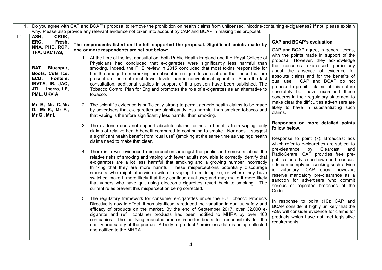|     | 1. Do you agree with CAP and BCAP's proposal to remove the prohibition on health claims from unlicensed, nicotine-containing e-cigarettes? If not, please explain |                                                                                                                                                                                                                                                                                                                                                                                                                                                                                                                                                                                                                                                                                         |                                                                                                                                                                                                                                                                                                                                                                       |  |  |
|-----|-------------------------------------------------------------------------------------------------------------------------------------------------------------------|-----------------------------------------------------------------------------------------------------------------------------------------------------------------------------------------------------------------------------------------------------------------------------------------------------------------------------------------------------------------------------------------------------------------------------------------------------------------------------------------------------------------------------------------------------------------------------------------------------------------------------------------------------------------------------------------|-----------------------------------------------------------------------------------------------------------------------------------------------------------------------------------------------------------------------------------------------------------------------------------------------------------------------------------------------------------------------|--|--|
|     |                                                                                                                                                                   | why. Please also provide any relevant evidence not taken into account by CAP and BCAP in making this proposal.                                                                                                                                                                                                                                                                                                                                                                                                                                                                                                                                                                          |                                                                                                                                                                                                                                                                                                                                                                       |  |  |
| 1.1 | ASH,<br>CRUK,<br>ERC,<br>Fresh,<br>NNA, PHE, RCP,<br>TFA, UKCTAS,                                                                                                 | The respondents listed on the left supported the proposal. Significant points made by<br>one or more respondents are set out below:                                                                                                                                                                                                                                                                                                                                                                                                                                                                                                                                                     | <b>CAP and BCAP's evaluation</b><br>CAP and BCAP agree, in general terms,                                                                                                                                                                                                                                                                                             |  |  |
|     | BAT, Bluespur,<br>Boots, Cuts Ice,<br>ECD, Fontem,<br>IBVTA, IR, JAC,<br>JTI, Liberro, LF,<br>PML, UKVIA                                                          | 1. At the time of the last consultation, both Public Health England and the Royal College of<br>Physicians had concluded that e-cigarettes were significantly less harmful than<br>smoking. Indeed, the PHE review in 2015 concluded that most toxins responsible for<br>health damage from smoking are absent in e-cigarette aerosol and that those that are<br>present are there at much lower levels than in conventional cigarettes. Since the last<br>consultation, additional studies in support of this position have been published. The<br>Tobacco Control Plan for England promotes the role of e-cigarettes as an alternative to<br>tobacco.                                 | with the points made in support of the<br>proposal. However, they acknowledge<br>the concerns expressed particularly<br>about the absence of evidence for<br>absolute claims and for the benefits of<br>dual use. CAP and BCAP do not<br>propose to prohibit claims of this nature<br>absolutely but have examined these<br>concerns in their regulatory statement to |  |  |
|     | Mr B, Ms C., Ms<br>D., Mr E., Mr F.,<br>Mr G., Mr I.                                                                                                              | 2. The scientific evidence is sufficiently strong to permit generic health claims to be made<br>by advertisers that e-cigarettes are significantly less harmful than smoked tobacco and<br>that vaping is therefore significantly less harmful than smoking.                                                                                                                                                                                                                                                                                                                                                                                                                            | make clear the difficulties advertisers are<br>likely to have in substantiating such<br>claims.                                                                                                                                                                                                                                                                       |  |  |
|     |                                                                                                                                                                   | 3. The evidence does not support absolute claims for health benefits from vaping, only<br>claims of relative health benefit compared to continuing to smoke. Nor does it suggest<br>a significant health benefit from "dual use" (smoking at the same time as vaping); health<br>claims need to make that clear.                                                                                                                                                                                                                                                                                                                                                                        | Responses on more detailed points<br>follow below.<br>Response to point (7): Broadcast ads<br>which refer to e-cigarettes are subject to                                                                                                                                                                                                                              |  |  |
|     |                                                                                                                                                                   | 4. There is a well-evidenced misperception amongst the public and smokers about the<br>relative risks of smoking and vaping with fewer adults now able to correctly identify that<br>e-cigarettes are a lot less harmful that smoking and a growing number incorrectly<br>thinking that they are more harmful. These misperceptions potentially discourage<br>smokers who might otherwise switch to vaping from doing so, or where they have<br>switched make it more likely that they continue dual use; and may make it more likely<br>that vapers who have quit using electronic cigarettes revert back to smoking. The<br>current rules prevent this misperception being corrected. | pre-clearance<br>by Clearcast<br>and<br>RadioCentre. CAP provides free pre-<br>publication advice on how non-broadcast<br>ads can comply but seeking such advice<br>is voluntary. CAP does, however,<br>reserve mandatory pre-clearance as a<br>sanction for advertisers who commit<br>serious or repeated breaches of the<br>Code.                                   |  |  |
|     |                                                                                                                                                                   | 5. The regulatory framework for consumer e-cigarettes under the EU Tobacco Products<br>Directive is now in effect. It has significantly reduced the variation in quality, safety and<br>efficacy of products on the market. By the end of September 2017, over 32,000 e-<br>cigarette and refill container products had been notified to MHRA by over 400<br>companies. The notifying manufacturer or importer bears full responsibility for the<br>quality and safety of the product. A body of product / emissions data is being collected<br>and notified to the MHRA.                                                                                                               | In response to point (10): CAP and<br>BCAP consider it highly unlikely that the<br>ASA will consider evidence for claims for<br>products which have not met legislative<br>requirements.                                                                                                                                                                              |  |  |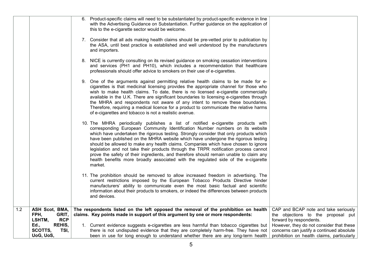|     |                      | 6. Product-specific claims will need to be substantiated by product-specific evidence in line<br>with the Advertising Guidance on Substantiation. Further guidance on the application of<br>this to the e-cigarette sector would be welcome.                                                                                                                                                                                                                                                                                                                                                                                                                                                                              |                                            |
|-----|----------------------|---------------------------------------------------------------------------------------------------------------------------------------------------------------------------------------------------------------------------------------------------------------------------------------------------------------------------------------------------------------------------------------------------------------------------------------------------------------------------------------------------------------------------------------------------------------------------------------------------------------------------------------------------------------------------------------------------------------------------|--------------------------------------------|
|     |                      | 7. Consider that all ads making health claims should be pre-vetted prior to publication by<br>the ASA, until best practice is established and well understood by the manufacturers<br>and importers.                                                                                                                                                                                                                                                                                                                                                                                                                                                                                                                      |                                            |
|     |                      | 8. NICE is currently consulting on its revised guidance on smoking cessation interventions<br>and services (PH1 and PH10), which includes a recommendation that healthcare<br>professionals should offer advice to smokers on their use of e-cigarettes.                                                                                                                                                                                                                                                                                                                                                                                                                                                                  |                                            |
|     |                      | 9. One of the arguments against permitting relative health claims to be made for e-<br>cigarettes is that medicinal licensing provides the appropriate channel for those who<br>wish to make health claims. To date, there is no licensed e-cigarette commercially<br>available in the U.K. There are significant boundaries to licensing e-cigarettes through<br>the MHRA and respondents not aware of any intent to remove these boundaries.<br>Therefore, requiring a medical licence for a product to communicate the relative harms<br>of e-cigarettes and tobacco is not a realistic avenue.                                                                                                                        |                                            |
|     |                      | 10. The MHRA periodically publishes a list of notified e-cigarette products with<br>corresponding European Community Identification Number numbers on its website<br>which have undertaken the rigorous testing. Strongly consider that only products which<br>have been published on the MHRA website which have undergone the rigorous testing<br>should be allowed to make any health claims. Companies which have chosen to ignore<br>legislation and not take their products through the TRPR notification process cannot<br>prove the safety of their ingredients, and therefore should remain unable to claim any<br>health benefits more broadly associated with the regulated side of the e-cigarette<br>market. |                                            |
|     |                      | 11. The prohibition should be removed to allow increased freedom in advertising. The<br>current restrictions imposed by the European Tobacco Products Directive hinder<br>manufacturers' ability to communicate even the most basic factual and scientific<br>information about their products to smokers, or indeed the differences between products<br>and devices.                                                                                                                                                                                                                                                                                                                                                     |                                            |
| 1.2 | ASH Scot, BMA,       | The respondents listed on the left opposed the removal of the prohibition on health                                                                                                                                                                                                                                                                                                                                                                                                                                                                                                                                                                                                                                       | CAP and BCAP note and take seriously       |
|     | FPH,<br>GRIT,        | claims. Key points made in support of this argument by one or more respondents:                                                                                                                                                                                                                                                                                                                                                                                                                                                                                                                                                                                                                                           | the objections to the proposal put         |
|     | <b>RCP</b><br>LSHTM, |                                                                                                                                                                                                                                                                                                                                                                                                                                                                                                                                                                                                                                                                                                                           | forward by respondents.                    |
|     | REHIS,<br>Ed.,       | 1. Current evidence suggests e-cigarettes are less harmful than tobacco cigarettes but                                                                                                                                                                                                                                                                                                                                                                                                                                                                                                                                                                                                                                    | However, they do not consider that these   |
|     | SCOTTS,<br>TSI,      | there is not undisputed evidence that they are completely harm-free. They have not                                                                                                                                                                                                                                                                                                                                                                                                                                                                                                                                                                                                                                        | concerns can justify a continued absolute  |
|     | UoG, UoS,            | been in use for long enough to understand whether there are any long-term health                                                                                                                                                                                                                                                                                                                                                                                                                                                                                                                                                                                                                                          | prohibition on health claims, particularly |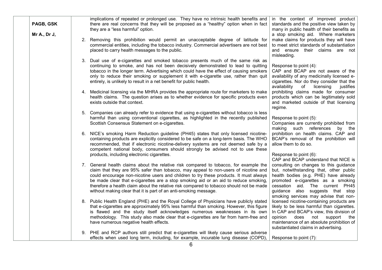| PAGB, GSK<br>Mr A., Dr J, | implications of repeated or prolonged use. They have no intrinsic health benefits and<br>there are real concerns that they will be proposed as a "healthy" option when in fact  <br>they are a "less harmful" option.<br>2. Removing this prohibition would permit an unacceptable degree of latitude for<br>commercial entities, including the tobacco industry. Commercial advertisers are not best<br>placed to carry health messages to the public.                                                                     | in the context of improved product<br>standards and the positive view taken by<br>many in public health of their benefits as<br>a stop smoking aid. Where marketers<br>make claims for products they will have<br>to meet strict standards of substantiation<br>and ensure their claims are not<br>misleading.           |
|---------------------------|-----------------------------------------------------------------------------------------------------------------------------------------------------------------------------------------------------------------------------------------------------------------------------------------------------------------------------------------------------------------------------------------------------------------------------------------------------------------------------------------------------------------------------|--------------------------------------------------------------------------------------------------------------------------------------------------------------------------------------------------------------------------------------------------------------------------------------------------------------------------|
|                           | 3. Dual use of e-cigarettes and smoked tobacco presents much of the same risk as<br>continuing to smoke, and has not been decisively demonstrated to lead to quitting<br>tobacco in the longer term. Advertising which could have the effect of causing smokers<br>only to reduce their smoking or supplement it with e-cigarette use, rather than quit<br>entirely, is unlikely to result in a net benefit for public health.                                                                                              | Response to point (4):<br>CAP and BCAP are not aware of the<br>availability of any medicinally licensed e-<br>cigarettes. Nor do they consider that the<br>availability<br>of<br>licensing<br>justifies                                                                                                                  |
|                           | 4. Medicinal licensing via the MHRA provides the appropriate route for marketers to make<br>health claims. The question arises as to whether evidence for specific products even<br>exists outside that context.                                                                                                                                                                                                                                                                                                            | prohibiting claims made for consumer<br>products which can be legitimately sold<br>and marketed outside of that licensing<br>regime.                                                                                                                                                                                     |
|                           | 5. Companies can already refer to evidence that using e-cigarettes without tobacco is less<br>harmful than using conventional cigarettes, as highlighted in the recently published<br>Scottish Consensus Statement on e-cigarettes.                                                                                                                                                                                                                                                                                         | Response to point (5):<br>Companies are currently prohibited from<br>making such references by the                                                                                                                                                                                                                       |
|                           | 6. NICE's smoking Harm Reduction guideline (PH45) states that only licensed nicotine-<br>containing products are explicitly considered to be safe on a long-term basis. The WHO<br>recommended, that if electronic nicotine-delivery systems are not deemed safe by a<br>competent national body, consumers should strongly be advised not to use these<br>products, including electronic cigarettes.                                                                                                                       | prohibition on health claims. CAP and<br>BCAP's removal of the prohibition will<br>allow them to do so.<br>Response to point (6):                                                                                                                                                                                        |
|                           | 7. General health claims about the relative risk compared to tobacco, for example the<br>claim that they are 95% safer than tobacco, may appeal to non-users of nicotine and<br>could encourage non-nicotine users and children to try these products. It must always<br>be made clear that e-cigarettes are a stop smoking aid or an aid to reduce smoking,<br>therefore a health claim about the relative risk compared to tobacco should not be made<br>without making clear that it is part of an anti-smoking message. | CAP and BCAP understand that NICE is<br>consulting on changes to this guidance<br>but, notwithstanding that, other public<br>health bodies (e.g. PHE) have already<br>promoted e-cigarettes as a smoking<br>cessation aid. The current PH45<br>guidance also suggests that stop<br>smoking services may advise that non- |
|                           | 8. Public Health England (PHE) and the Royal College of Physicians have publicly stated<br>that e-cigarettes are approximately 95% less harmful than smoking. However, this figure<br>is flawed and the study itself acknowledges numerous weaknesses in its own<br>methodology. This study also made clear that e-cigarettes are far from harm-free and<br>have numerous negative health effects.                                                                                                                          | licensed nicotine-containing products are<br>likely to be less harmful than cigarettes.<br>In CAP and BCAP's view, this division of<br>opinion<br>does<br>not<br>support the<br>maintenance of an absolute prohibition of<br>substantiated claims in advertising.                                                        |
|                           | 9. PHE and RCP authors still predict that e-cigarettes will likely cause serious adverse<br>effects when used long term, including, for example, incurable lung disease (COPD),                                                                                                                                                                                                                                                                                                                                             | Response to point (7):                                                                                                                                                                                                                                                                                                   |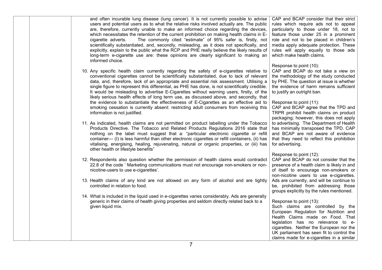|  | and often incurable lung disease (lung cancer). It is not currently possible to advise<br>users and potential users as to what the relative risks involved actually are. The public<br>are, therefore, currently unable to make an informed choice regarding the devices,<br>which necessitates the retention of the current prohibition on making health claims in E-<br>The commonly cited "estimate" of 95% safer is, firstly, not<br>cigarette adverts.<br>scientifically substantiated, and, secondly, misleading, as it does not specifically, and<br>explicitly, explain to the public what the RCP and PHE really believe the likely results of<br>long-term e-cigarette use are: these opinions are clearly significant to making an<br>informed choice.                         | CAP and BCAP consider that their strict<br>rules which require ads not to appeal<br>particularly to those under 18, not to<br>feature those under 25 in a prominent<br>role and not to be placed in children's<br>media apply adequate protection. These<br>rules will apply equally to those ads<br>which make health claims.            |
|--|-------------------------------------------------------------------------------------------------------------------------------------------------------------------------------------------------------------------------------------------------------------------------------------------------------------------------------------------------------------------------------------------------------------------------------------------------------------------------------------------------------------------------------------------------------------------------------------------------------------------------------------------------------------------------------------------------------------------------------------------------------------------------------------------|-------------------------------------------------------------------------------------------------------------------------------------------------------------------------------------------------------------------------------------------------------------------------------------------------------------------------------------------|
|  | 10. Any specific health claim currently regarding the safety of e-cigarettes relative to<br>conventional cigarettes cannot be scientifically substantiated, due to lack of relevant<br>data, and, therefore, lack of an appropriate and essential risk assessment. Utilising a<br>single figure to represent this differential, as PHE has done, is not scientifically credible.<br>It would be misleading to advertise E-Cigarettes without warning users, firstly, of the<br>likely serious health effects of long term use, as discussed above, and secondly, that<br>the evidence to substantiate the effectiveness of E-Cigarettes as an effective aid to<br>smoking cessation is currently absent: restricting adult consumers from receiving this<br>information is not justified. | Response to point (10):<br>CAP and BCAP do not take a view on<br>the methodology of the study conducted<br>by PHE. The question at issue is whether<br>the evidence of harm remains sufficient<br>to justify an outright ban.<br>Response to point (11):<br>CAP and BCAP agree that the TPD and<br>TRPR prohibit health claims on product |
|  | 11. As indicated, health claims are not permitted on product labelling under the Tobacco<br>Products Directive. The Tobacco and Related Products Regulations 2016 state that<br>nothing on the label must suggest that a: "particular electronic cigarette or refill<br>container— (I) is less harmful than other electronic cigarettes or refill containers, (ii) has<br>vitalising, energising, healing, rejuvenating, natural or organic properties, or (iii) has<br>other health or lifestyle benefits"                                                                                                                                                                                                                                                                               | packaging; however, this does not apply<br>to advertising. The Department of Health<br>has minimally transposed the TPD. CAP<br>and BCAP are not aware of evidence<br>that they need to reflect this prohibition<br>for advertising.                                                                                                      |
|  | 12. Respondents also question whether the permission of health claims would contradict<br>22.8 of the code 'Marketing communications must not encourage non-smokers or non-<br>nicotine-users to use e-cigarettes'.<br>13. Health claims of any kind are not allowed on any form of alcohol and are tightly<br>controlled in relation to food.                                                                                                                                                                                                                                                                                                                                                                                                                                            | Response to point (12):<br>CAP and BCAP do not consider that the<br>presence of a health claim is likely in and<br>of itself to encourage non-smokers or<br>non-nicotine users to use e-cigarettes.<br>Ads are currently, and will be continue to<br>be, prohibited from addressing those<br>groups explicitly by the rules mentioned.    |
|  | 14. What is included in the liquid used in e-cigarettes varies considerably. Ads are generally<br>generic in their claims of health giving properties and seldom directly related back to a<br>given liquid mix.                                                                                                                                                                                                                                                                                                                                                                                                                                                                                                                                                                          | Response to point (13):<br>Such claims are controlled by the<br>European Regulation for Nutrition and<br>Health Claims made on Food. That<br>legislation has no relevance to e-<br>cigarettes. Neither the European nor the<br>UK parliament has seen fit to control the<br>claims made for e-cigarettes in a similar                     |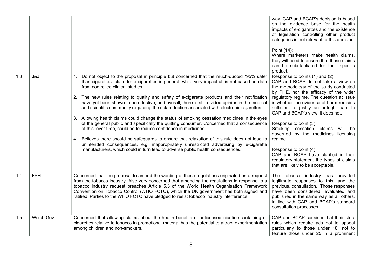|     |            |                                                                                                                                                                                                                                                                                                                                                                                                                                                                                                                                                                                                                                                                                                                                                                                                                                                                                                                                                                                                                                                                                                   | way. CAP and BCAP's decision is based<br>on the evidence base for the health<br>impacts of e-cigarettes and the existence<br>of legislation controlling other product<br>categories is not relevant to this decision.<br>Point (14):<br>Where marketers make health claims,<br>they will need to ensure that those claims<br>can be substantiated for their specific<br>product.                                                                                                                                                                                                                        |
|-----|------------|---------------------------------------------------------------------------------------------------------------------------------------------------------------------------------------------------------------------------------------------------------------------------------------------------------------------------------------------------------------------------------------------------------------------------------------------------------------------------------------------------------------------------------------------------------------------------------------------------------------------------------------------------------------------------------------------------------------------------------------------------------------------------------------------------------------------------------------------------------------------------------------------------------------------------------------------------------------------------------------------------------------------------------------------------------------------------------------------------|---------------------------------------------------------------------------------------------------------------------------------------------------------------------------------------------------------------------------------------------------------------------------------------------------------------------------------------------------------------------------------------------------------------------------------------------------------------------------------------------------------------------------------------------------------------------------------------------------------|
| 1.3 | J&J        | Do not object to the proposal in principle but concerned that the much-quoted "95% safer<br>1.<br>than cigarettes" claim for e-cigarettes in general, while very impactful, is not based on data<br>from controlled clinical studies.<br>The new rules relating to quality and safety of e-cigarette products and their notification<br>2.<br>have yet been shown to be effective; and overall, there is still divided opinion in the medical<br>and scientific community regarding the risk reduction associated with electronic cigarettes.<br>Allowing health claims could change the status of smoking cessation medicines in the eyes<br>3.<br>of the general public and specifically the quitting consumer. Concerned that a consequence<br>of this, over time, could be to reduce confidence in medicines.<br>Believes there should be safeguards to ensure that relaxation of this rule does not lead to<br>4.<br>unintended consequences, e.g. inappropriately unrestricted advertising by e-cigarette<br>manufacturers, which could in turn lead to adverse public health consequences. | Response to points (1) and (2):<br>CAP and BCAP do not take a view on<br>the methodology of the study conducted<br>by PHE, nor the efficacy of the wider<br>regulatory regime. The question at issue<br>is whether the evidence of harm remains<br>sufficient to justify an outright ban. In<br>CAP and BCAP's view, it does not.<br>Response to point (3):<br>Smoking cessation claims<br>will be<br>governed by the medicines licensing<br>regime.<br>Response to point (4):<br>CAP and BCAP have clarified in their<br>regulatory statement the types of claims<br>that are likely to be acceptable. |
| 1.4 | <b>FPH</b> | Concerned that the proposal to amend the wording of these regulations originated as a request<br>from the tobacco industry. Also very concerned that amending the regulations in response to a<br>tobacco industry request breaches Article 5.3 of the World Health Organisation Framework<br>Convention on Tobacco Control (WHO FCTC), which the UK government has both signed and<br>ratified. Parties to the WHO FCTC have pledged to resist tobacco industry interference.                                                                                                                                                                                                                                                                                                                                                                                                                                                                                                                                                                                                                    | The tobacco industry has provided<br>legitimate responses to this, and the<br>previous, consultation. Those responses<br>have been considered, evaluated and<br>published in the same way as all others,<br>in line with CAP and BCAP's standard<br>consultation processes.                                                                                                                                                                                                                                                                                                                             |
| 1.5 | Welsh Gov  | Concerned that allowing claims about the health benefits of unlicensed nicotine-containing e-<br>cigarettes relative to tobacco in promotional material has the potential to attract experimentation<br>among children and non-smokers.                                                                                                                                                                                                                                                                                                                                                                                                                                                                                                                                                                                                                                                                                                                                                                                                                                                           | CAP and BCAP consider that their strict<br>rules which require ads not to appeal<br>particularly to those under 18, not to<br>feature those under 25 in a prominent                                                                                                                                                                                                                                                                                                                                                                                                                                     |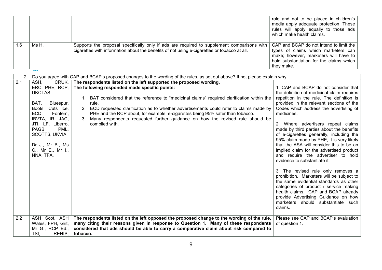| 1.6                    | Ms H.<br>$***$                                                                                                                                                                                                                               | Supports the proposal specifically only if ads are required to supplement comparisons with<br>cigarettes with information about the benefits of not using e-cigarettes or tobacco at all.                                                                                                                                                                                                                                                                                                                                                                                                                                                        | role and not to be placed in children's<br>media apply adequate protection. These<br>rules will apply equally to those ads<br>which make health claims.<br>CAP and BCAP do not intend to limit the<br>types of claims which marketers can<br>make; however, marketers will have to<br>hold substantiation for the claims which<br>they make.                                                                                                                                                                                                                                                                                                                                                                                                                                                                                                                                      |
|------------------------|----------------------------------------------------------------------------------------------------------------------------------------------------------------------------------------------------------------------------------------------|--------------------------------------------------------------------------------------------------------------------------------------------------------------------------------------------------------------------------------------------------------------------------------------------------------------------------------------------------------------------------------------------------------------------------------------------------------------------------------------------------------------------------------------------------------------------------------------------------------------------------------------------------|-----------------------------------------------------------------------------------------------------------------------------------------------------------------------------------------------------------------------------------------------------------------------------------------------------------------------------------------------------------------------------------------------------------------------------------------------------------------------------------------------------------------------------------------------------------------------------------------------------------------------------------------------------------------------------------------------------------------------------------------------------------------------------------------------------------------------------------------------------------------------------------|
| 2.<br>$\overline{2.1}$ | ASH,<br>CRUK,<br>ERC, PHE, RCP,<br><b>UKCTAS</b><br>BAT,<br>Bluespur,<br>Boots, Cuts Ice,<br>ECD,<br>Fontem,<br>IBVTA, IR, JAC,<br>JTI, LF, Liberro,<br>PAGB,<br>PML,<br>SCOTTS, UKVIA<br>Dr J., Mr B., Ms<br>C., Mr E., Mr I.,<br>NNA, TFA, | Do you agree with CAP and BCAP's proposed changes to the wording of the rules, as set out above? If not please explain why.<br>The respondents listed on the left supported the proposed wording.<br>The following responded made specific points:<br>1. BAT considered that the reference to "medicinal claims" required clarification within the<br>rule.<br>2. ECD requested clarification as to whether advertisements could refer to claims made by<br>PHE and the RCP about, for example, e-cigarettes being 95% safer than tobacco.<br>3. Many respondents requested further guidance on how the revised rule should be<br>complied with. | 1. CAP and BCAP do not consider that<br>the definition of medicinal claim requires<br>repetition in the rule. The definition is<br>provided in the relevant sections of the<br>Codes which address the advertising of<br>medicines.<br>2. Where advertisers repeat claims<br>made by third parties about the benefits<br>of e-cigarettes generally, including the<br>95% claim made by PHE, it is very likely<br>that the ASA will consider this to be an<br>implied claim for the advertised product<br>and require the advertiser to hold<br>evidence to substantiate it.<br>3. The revised rule only removes a<br>prohibition. Marketers will be subject to<br>the same evidential standards as other<br>categories of product / service making<br>health claims. CAP and BCAP already<br>provide Advertising Guidance on how<br>marketers should substantiate such<br>claims. |
| 2.2                    | ASH Scot, ASH<br>Wales, FPH, Grit,<br>Mr G., RCP Ed.,<br>TSI,<br>REHIS,                                                                                                                                                                      | The respondents listed on the left opposed the proposed change to the wording of the rule,<br>many citing their reasons given in response to Question 1. Many of these respondents<br>considered that ads should be able to carry a comparative claim about risk compared to<br>tobacco.                                                                                                                                                                                                                                                                                                                                                         | Please see CAP and BCAP's evaluation<br>of question 1.                                                                                                                                                                                                                                                                                                                                                                                                                                                                                                                                                                                                                                                                                                                                                                                                                            |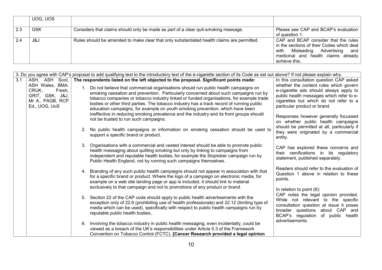| UOG, UOS   |                                                                                            |                                                                                                                                                                                       |
|------------|--------------------------------------------------------------------------------------------|---------------------------------------------------------------------------------------------------------------------------------------------------------------------------------------|
| <b>GSK</b> | Considers that claims should only be made as part of a clear quit-smoking message.         | Please see CAP and BCAP's evaluation                                                                                                                                                  |
|            |                                                                                            | of question 1.                                                                                                                                                                        |
| J&J        | Rules should be amended to make clear that only substantiated health claims are permitted. | CAP and BCAP consider that the rules<br>in the sections of their Codes which deal<br>Advertising<br>Misleading<br>with<br>and<br>medicinal and health claims already<br>achieve this. |

|     | 3. Do you agree with CAP's proposal to add qualifying text to the introductory text of the e-cigarette section of its Code as set out above? If not please explain why. |    |                                                                                                                                                                                                                                                                                                                                                                                                                                                       |                                                                                                                                                              |  |
|-----|-------------------------------------------------------------------------------------------------------------------------------------------------------------------------|----|-------------------------------------------------------------------------------------------------------------------------------------------------------------------------------------------------------------------------------------------------------------------------------------------------------------------------------------------------------------------------------------------------------------------------------------------------------|--------------------------------------------------------------------------------------------------------------------------------------------------------------|--|
| 3.1 | ASH, ASH Scot,<br>ASH Wales, BMA.                                                                                                                                       |    | The respondents listed on the left objected to the proposal. Significant points made:                                                                                                                                                                                                                                                                                                                                                                 | In this consultation question CAP asked<br>whether the content rules which govern                                                                            |  |
|     | CRUK,<br>Fresh,<br>GRIT, GSK, J&J,<br>Mr A., PAGB, RCP<br>Ed., UOG, UoS                                                                                                 |    | 1. Do not believe that commercial organisations should run public health campaigns on<br>smoking cessation and prevention. Particularly concerned about such campaigns run by<br>tobacco companies or tobacco industry linked or funded organisations, for example trade<br>bodies or other third parties. The tobacco industry has a track record of running public<br>education campaigns, for example on youth smoking prevention, which have been | e-cigarette ads should always apply to<br>public health messages which refer to e-<br>cigarettes but which do not refer to a<br>particular product or brand. |  |
|     |                                                                                                                                                                         |    | ineffective in reducing smoking prevalence and the industry and its front groups should<br>not be trusted to run such campaigns.                                                                                                                                                                                                                                                                                                                      | Responses however generally focussed<br>on whether public health campaigns                                                                                   |  |
|     |                                                                                                                                                                         |    | 2. No public health campaigns or information on smoking cessation should be used to<br>support a specific brand or product.                                                                                                                                                                                                                                                                                                                           | should be permitted at all, particularly if<br>they were originated by a commercial<br>entity.                                                               |  |
|     |                                                                                                                                                                         | 3. | Organisations with a commercial and vested interest should be able to promote public<br>health messaging about quitting smoking but only by linking to campaigns from<br>independent and reputable health bodies, for example the Stoptober campaign run by<br>Public Health England, not by running such campaigns themselves.                                                                                                                       | CAP has explored these concerns and<br>their ramifications in its regulatory<br>statement, published separately.                                             |  |
|     |                                                                                                                                                                         |    | 4. Branding of any such public health campaigns should not appear in association with that<br>for a specific brand or product. Where the logo of a campaign on electronic media, for<br>example on a web site landing page or app is included, it should link to material<br>exclusively to that campaign and not to promotions of any product or brand.                                                                                              | Readers should refer to the evaluation of<br>Question 1 above in relation to these<br>points.                                                                |  |
|     |                                                                                                                                                                         |    | 5. Section 22 of the CAP code should apply to public health advertisements with the                                                                                                                                                                                                                                                                                                                                                                   | In relation to point (6):<br>CAP notes the legal opinion provided.                                                                                           |  |
|     |                                                                                                                                                                         |    | exception only of 22.6 (prohibiting use of health professionals) and 22.12 (limiting type of<br>media which can be used), specifically with respect to public health campaigns run by<br>reputable public health bodies,.                                                                                                                                                                                                                             | While not relevant to the specific<br>consultation question at issue it poses<br>broader questions about CAP and<br>BCAP's regulation<br>of public health    |  |
|     |                                                                                                                                                                         | 6. | Involving the tobacco industry in public health messaging, even incidentally, could be<br>viewed as a breach of the UK's responsibilities under Article 5.3 of the Framework<br>Convention on Tobacco Control (FCTC). [Cancer Research provided a legal opinion                                                                                                                                                                                       | advertisements.                                                                                                                                              |  |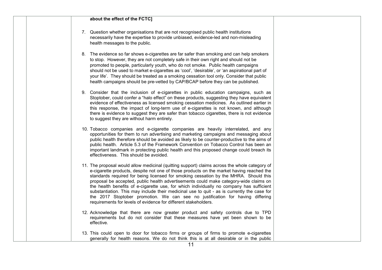#### about the effect of the FCTC]

- 7. Question whether organisations that are not recognised public health institutions necessarily have the expertise to provide unbiased, evidence-led and non-misleading health messages to the public.
- 8. The evidence so far shows e-cigarettes are far safer than smoking and can help smokers to stop. However, they are not completely safe in their own right and should not be promoted to people, particularly youth, who do not smoke. Public health campaigns should not be used to market e-cigarettes as 'cool', 'desirable', or 'an aspirational part of your life'. They should be treated as a smoking cessation tool only. Consider that public health campaigns should be pre-vetted by CAP/BCAP before they can be published.
- 9. Consider that the inclusion of e-cigarettes in public education campaigns, such as Stoptober, could confer a "halo effect" on these products, suggesting they have equivalent evidence of effectiveness as licensed smoking cessation medicines. As outlined earlier in this response, the impact of long-term use of e-cigarettes is not known, and although there is evidence to suggest they are safer than tobacco cigarettes, there is not evidence to suggest they are without harm entirely.
- 10. Tobacco companies and e-cigarette companies are heavily interrelated, and any opportunities for them to run advertising and marketing campaigns and messaging about public health therefore should be avoided as likely to be counter-productive to the aims of public health. Article 5.3 of the Framework Convention on Tobacco Control has been an important landmark in protecting public health and this proposed change could breach its effectiveness. This should be avoided.
- 11. The proposal would allow medicinal (quitting support) claims across the whole category of e-cigarette products, despite not one of those products on the market having reached the standards required for being licensed for smoking cessation by the MHRA. Should this proposal be accepted, public health advertisements could make category-wide claims on the health benefits of e-cigarette use, for which individually no company has sufficient substantiation. This may include their medicinal use to quit - as is currently the case for the 2017 Stoptober promotion. We can see no justification for having differing requirements for levels of evidence for different stakeholders.
- 12. Acknowledge that there are now greater product and safety controls due to TPD requirements but do not consider that these measures have yet been shown to be effective.
- 13. This could open to door for tobacco firms or groups of firms to promote e-cigarettes generally for health reasons. We do not think this is at all desirable or in the public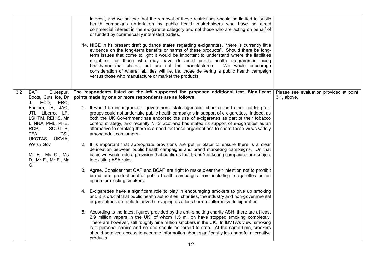|                  |                                                                                                                                                                                                                                                                  | interest, and we believe that the removal of these restrictions should be limited to public<br>health campaigns undertaken by public health stakeholders who have no direct<br>commercial interest in the e-cigarette category and not those who are acting on behalf of<br>or funded by commercially interested parties.<br>14. NICE in its present draft guidance states regarding e-cigarettes, "there is currently little<br>evidence on the long-term benefits or harms of these products". Should there be long-<br>term issues that come to light it would be important to understand where the liabilities<br>might sit for those who may have delivered public health programmes using<br>health/medicinal claims, but are not the manufacturers.  We would encourage<br>consideration of where liabilities will lie, i.e. those delivering a public health campaign<br>versus those who manufacture or market the products.                                                                                                                                                                                                                                                                                                                                                                                                                                                                                                                                                                                                                                                                                                                                                                                                                                                                                                                                                                                                                                        |                                                        |
|------------------|------------------------------------------------------------------------------------------------------------------------------------------------------------------------------------------------------------------------------------------------------------------|------------------------------------------------------------------------------------------------------------------------------------------------------------------------------------------------------------------------------------------------------------------------------------------------------------------------------------------------------------------------------------------------------------------------------------------------------------------------------------------------------------------------------------------------------------------------------------------------------------------------------------------------------------------------------------------------------------------------------------------------------------------------------------------------------------------------------------------------------------------------------------------------------------------------------------------------------------------------------------------------------------------------------------------------------------------------------------------------------------------------------------------------------------------------------------------------------------------------------------------------------------------------------------------------------------------------------------------------------------------------------------------------------------------------------------------------------------------------------------------------------------------------------------------------------------------------------------------------------------------------------------------------------------------------------------------------------------------------------------------------------------------------------------------------------------------------------------------------------------------------------------------------------------------------------------------------------------------------------|--------------------------------------------------------|
| $\overline{3.2}$ | BAT,<br>Bluespur,<br>Boots, Cuts Ice, Dr<br>J., ECD, ERC,<br>Fontem, IR, JAC,<br>JTI, Liberro, LF,<br>LSHTM, REHIS, Mr<br>I., NNA, PML, PHE,<br>RCP,<br>SCOTTS,<br>TSI,<br>TFA,<br>UKCTAS, UKVIA,<br>Welsh Gov<br>Mr B., Ms C., Ms<br>D., Mr E., Mr F., Mr<br>G. | The respondents listed on the left supported the proposed additional text. Significant<br>points made by one or more respondents are as follows:<br>1. It would be incongruous if government, state agencies, charities and other not-for-profit<br>groups could not undertake public health campaigns in support of e-cigarettes. Indeed, as<br>both the UK Government has endorsed the use of e-cigarettes as part of their tobacco<br>control strategy, and recently NHS Scotland has stated its support of e-cigarettes as an<br>alternative to smoking there is a need for these organisations to share these views widely<br>among adult consumers.<br>2. It is important that appropriate provisions are put in place to ensure there is a clear<br>delineation between public health campaigns and brand marketing campaigns. On that<br>basis we would add a provision that confirms that brand/marketing campaigns are subject<br>to existing ASA rules.<br>3. Agree. Consider that CAP and BCAP are right to make clear their intention not to prohibit<br>brand and product-neutral public health campaigns from including e-cigarettes as an<br>option for existing smokers.<br>4. E-cigarettes have a significant role to play in encouraging smokers to give up smoking<br>and it is crucial that public health authorities, charities, the industry and non-governmental<br>organisations are able to advertise vaping as a less harmful alternative to cigarettes.<br>5. According to the latest figures provided by the anti-smoking charity ASH, there are at least<br>2.9 million vapers in the UK, of whom 1.5 million have stopped smoking completely.<br>There are however, still roughly nine million smokers in the UK. In IBVTA's view, smoking<br>is a personal choice and no one should be forced to stop. At the same time, smokers<br>should be given access to accurate information about significantly less harmful alternative<br>products. | Please see evaluation provided at point<br>3.1, above. |